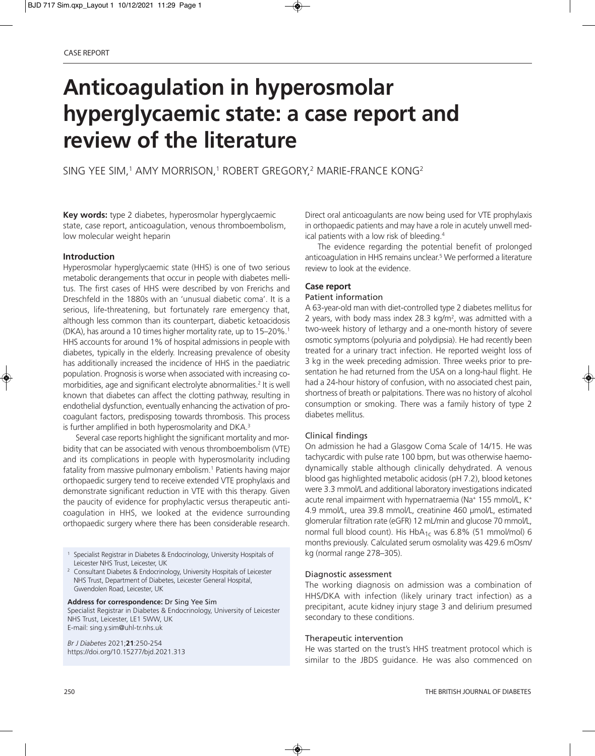# **Anticoagulation in hyperosmolar hyperglycaemic state: a case report and review of the literature**

SING YEE SIM,<sup>1</sup> AMY MORRISON,<sup>1</sup> ROBERT GREGORY,<sup>2</sup> MARIE-FRANCE KONG<sup>2</sup>

**Key words:** type 2 diabetes, hyperosmolar hyperglycaemic state, case report, anticoagulation, venous thromboembolism, low molecular weight heparin

## **Introduction**

Hyperosmolar hyperglycaemic state (HHS) is one of two serious metabolic derangements that occur in people with diabetes mellitus. The first cases of HHS were described by von Frerichs and Dreschfeld in the 1880s with an 'unusual diabetic coma'. It is a serious, life-threatening, but fortunately rare emergency that, although less common than its counterpart, diabetic ketoacidosis (DKA), has around a 10 times higher mortality rate, up to 15–20%.<sup>1</sup> HHS accounts for around 1% of hospital admissions in people with diabetes, typically in the elderly. Increasing prevalence of obesity has additionally increased the incidence of HHS in the paediatric population. Prognosis is worse when associated with increasing comorbidities, age and significant electrolyte abnormalities.<sup>2</sup> It is well known that diabetes can affect the clotting pathway, resulting in endothelial dysfunction, eventually enhancing the activation of procoagulant factors, predisposing towards thrombosis. This process is further amplified in both hyperosmolarity and DKA.<sup>3</sup>

Several case reports highlight the significant mortality and morbidity that can be associated with venous thromboembolism (VTE) and its complications in people with hyperosmolarity including fatality from massive pulmonary embolism.<sup>1</sup> Patients having major orthopaedic surgery tend to receive extended VTE prophylaxis and demonstrate significant reduction in VTE with this therapy. Given the paucity of evidence for prophylactic versus therapeutic anticoagulation in HHS, we looked at the evidence surrounding orthopaedic surgery where there has been considerable research.

<sup>1</sup> Specialist Registrar in Diabetes & Endocrinology, University Hospitals of Leicester NHS Trust, Leicester, UK

<sup>2</sup> Consultant Diabetes & Endocrinology, University Hospitals of Leicester NHS Trust, Department of Diabetes, Leicester General Hospital, Gwendolen Road, Leicester, UK

#### **Address for correspondence:** Dr Sing Yee Sim

Specialist Registrar in Diabetes & Endocrinology, University of Leicester NHS Trust, Leicester, LE1 5WW, UK E-mail: sing.y.sim@uhl-tr.nhs.uk

*Br J Diabetes* 2021;**21**:250-254 https://doi.org/10.15277/bjd.2021.313 Direct oral anticoagulants are now being used for VTE prophylaxis in orthopaedic patients and may have a role in acutely unwell medical patients with a low risk of bleeding.4

The evidence regarding the potential benefit of prolonged anticoagulation in HHS remains unclear.5 We performed a literature review to look at the evidence.

## **Case report**

## Patient information

A 63-year-old man with diet-controlled type 2 diabetes mellitus for 2 years, with body mass index 28.3 kg/m<sup>2</sup>, was admitted with a two-week history of lethargy and a one-month history of severe osmotic symptoms (polyuria and polydipsia). He had recently been treated for a urinary tract infection. He reported weight loss of 3 kg in the week preceding admission. Three weeks prior to presentation he had returned from the USA on a long-haul flight. He had a 24-hour history of confusion, with no associated chest pain, shortness of breath or palpitations. There was no history of alcohol consumption or smoking. There was a family history of type 2 diabetes mellitus.

## Clinical findings

On admission he had a Glasgow Coma Scale of 14/15. He was tachycardic with pulse rate 100 bpm, but was otherwise haemodynamically stable although clinically dehydrated. A venous blood gas highlighted metabolic acidosis (pH 7.2), blood ketones were 3.3 mmol/L and additional laboratory investigations indicated acute renal impairment with hypernatraemia (Na+ 155 mmol/L, K+ 4.9 mmol/L, urea 39.8 mmol/L, creatinine 460 μmol/L, estimated glomerular filtration rate (eGFR) 12 mL/min and glucose 70 mmol/L, normal full blood count). His  $HbA_{1c}$  was 6.8% (51 mmol/mol) 6 months previously. Calculated serum osmolality was 429.6 mOsm/ kg (normal range 278–305).

#### Diagnostic assessment

The working diagnosis on admission was a combination of HHS/DKA with infection (likely urinary tract infection) as a precipitant, acute kidney injury stage 3 and delirium presumed secondary to these conditions.

#### Therapeutic intervention

He was started on the trust's HHS treatment protocol which is similar to the JBDS guidance. He was also commenced on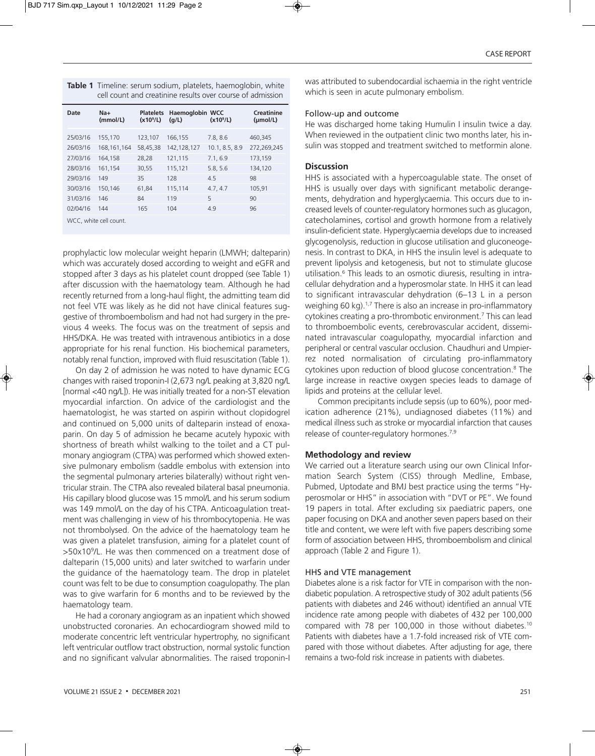| <b>Table 1</b> Timeline: serum sodium, platelets, haemoglobin, white |
|----------------------------------------------------------------------|
| cell count and creatinine results over course of admission           |

| Date                   | $Na+$<br>(mmol/L) | <b>Platelets</b><br>(x10 <sup>9</sup> /L) | <b>Haemoglobin WCC</b><br>(q/L) | (x10 <sup>9</sup> /L) | Creatinine<br>(mol/L) |  |  |
|------------------------|-------------------|-------------------------------------------|---------------------------------|-----------------------|-----------------------|--|--|
| 25/03/16               | 155,170           | 123,107                                   | 166,155                         | 7.8, 8.6              | 460,345               |  |  |
| 26/03/16               | 168, 161, 164     | 58,45,38                                  | 142, 128, 127                   | 10.1, 8.5, 8.9        | 272,269,245           |  |  |
| 27/03/16               | 164,158           | 28,28                                     | 121,115                         | 7.1, 6.9              | 173,159               |  |  |
| 28/03/16               | 161,154           | 30,55                                     | 115,121                         | 5.8, 5.6              | 134,120               |  |  |
| 29/03/16               | 149               | 35                                        | 128                             | 4.5                   | 98                    |  |  |
| 30/03/16               | 150,146           | 61,84                                     | 115,114                         | 4.7, 4.7              | 105,91                |  |  |
| 31/03/16               | 146               | 84                                        | 119                             | 5                     | 90                    |  |  |
| 02/04/16               | 144               | 165                                       | 104                             | 4.9                   | 96                    |  |  |
| WCC, white cell count. |                   |                                           |                                 |                       |                       |  |  |

prophylactic low molecular weight heparin (LMWH; dalteparin) which was accurately dosed according to weight and eGFR and stopped after 3 days as his platelet count dropped (see Table 1) after discussion with the haematology team. Although he had recently returned from a long-haul flight, the admitting team did not feel VTE was likely as he did not have clinical features suggestive of thromboembolism and had not had surgery in the previous 4 weeks. The focus was on the treatment of sepsis and HHS/DKA. He was treated with intravenous antibiotics in a dose appropriate for his renal function. His biochemical parameters, notably renal function, improved with fluid resuscitation (Table 1).

On day 2 of admission he was noted to have dynamic ECG changes with raised troponin-I (2,673 ng/L peaking at 3,820 ng/L [normal <40 ng/L]). He was initially treated for a non-ST elevation myocardial infarction. On advice of the cardiologist and the haematologist, he was started on aspirin without clopidogrel and continued on 5,000 units of dalteparin instead of enoxaparin. On day 5 of admission he became acutely hypoxic with shortness of breath whilst walking to the toilet and a CT pulmonary angiogram (CTPA) was performed which showed extensive pulmonary embolism (saddle embolus with extension into the segmental pulmonary arteries bilaterally) without right ventricular strain. The CTPA also revealed bilateral basal pneumonia. His capillary blood glucose was 15 mmol/L and his serum sodium was 149 mmol/L on the day of his CTPA. Anticoagulation treatment was challenging in view of his thrombocytopenia. He was not thrombolysed. On the advice of the haematology team he was given a platelet transfusion, aiming for a platelet count of >50x109/L. He was then commenced on a treatment dose of dalteparin (15,000 units) and later switched to warfarin under the guidance of the haematology team. The drop in platelet count was felt to be due to consumption coagulopathy. The plan was to give warfarin for 6 months and to be reviewed by the haematology team.

He had a coronary angiogram as an inpatient which showed unobstructed coronaries. An echocardiogram showed mild to moderate concentric left ventricular hypertrophy, no significant left ventricular outflow tract obstruction, normal systolic function and no significant valvular abnormalities. The raised troponin-I

was attributed to subendocardial ischaemia in the right ventricle which is seen in acute pulmonary embolism.

## Follow-up and outcome

He was discharged home taking Humulin I insulin twice a day. When reviewed in the outpatient clinic two months later, his insulin was stopped and treatment switched to metformin alone.

## **Discussion**

HHS is associated with a hypercoagulable state. The onset of HHS is usually over days with significant metabolic derangements, dehydration and hyperglycaemia. This occurs due to increased levels of counter-regulatory hormones such as glucagon, catecholamines, cortisol and growth hormone from a relatively insulin-deficient state. Hyperglycaemia develops due to increased glycogenolysis, reduction in glucose utilisation and gluconeogenesis. In contrast to DKA, in HHS the insulin level is adequate to prevent lipolysis and ketogenesis, but not to stimulate glucose utilisation.<sup>6</sup> This leads to an osmotic diuresis, resulting in intracellular dehydration and a hyperosmolar state. In HHS it can lead to significant intravascular dehydration (6–13 L in a person weighing 60 kg).<sup>1,7</sup> There is also an increase in pro-inflammatory cytokines creating a pro-thrombotic environment.<sup>7</sup> This can lead to thromboembolic events, cerebrovascular accident, disseminated intravascular coagulopathy, myocardial infarction and peripheral or central vascular occlusion. Chaudhuri and Umpierrez noted normalisation of circulating pro-inflammatory cytokines upon reduction of blood glucose concentration.8 The large increase in reactive oxygen species leads to damage of lipids and proteins at the cellular level.

Common precipitants include sepsis (up to 60%), poor medication adherence (21%), undiagnosed diabetes (11%) and medical illness such as stroke or myocardial infarction that causes release of counter-regulatory hormones.<sup>7,9</sup>

# **Methodology and review**

We carried out a literature search using our own Clinical Information Search System (CISS) through Medline, Embase, Pubmed, Uptodate and BMJ best practice using the terms "Hyperosmolar or HHS" in association with "DVT or PE". We found 19 papers in total. After excluding six paediatric papers, one paper focusing on DKA and another seven papers based on their title and content, we were left with five papers describing some form of association between HHS, thromboembolism and clinical approach (Table 2 and Figure 1).

## HHS and VTE management

Diabetes alone is a risk factor for VTE in comparison with the nondiabetic population. A retrospective study of 302 adult patients (56 patients with diabetes and 246 without) identified an annual VTE incidence rate among people with diabetes of 432 per 100,000 compared with 78 per 100,000 in those without diabetes.<sup>10</sup> Patients with diabetes have a 1.7-fold increased risk of VTE compared with those without diabetes. After adjusting for age, there remains a two-fold risk increase in patients with diabetes.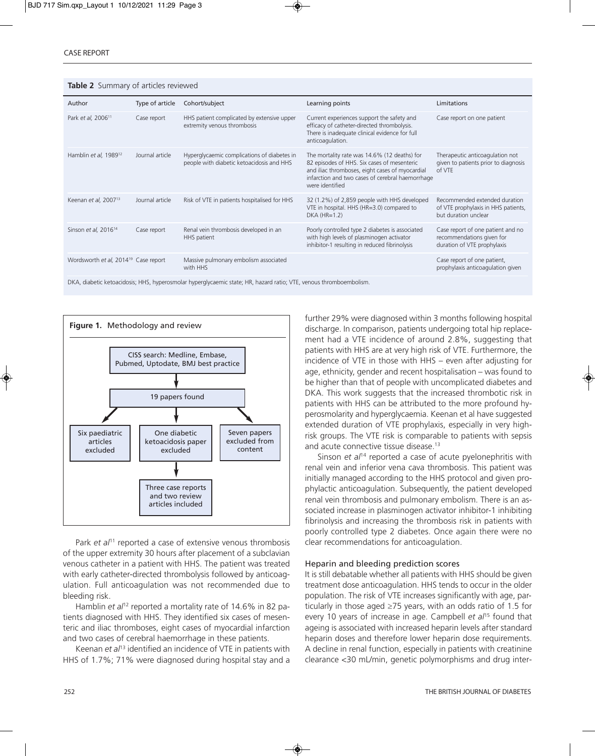**Table 2** Summary of articles reviewed

| Author                                                                                                             | Type of article | Cohort/subject                                                                           | Learning points                                                                                                                                                                                                       | Limitations                                                                                   |  |  |  |
|--------------------------------------------------------------------------------------------------------------------|-----------------|------------------------------------------------------------------------------------------|-----------------------------------------------------------------------------------------------------------------------------------------------------------------------------------------------------------------------|-----------------------------------------------------------------------------------------------|--|--|--|
| Park et al, 2006 <sup>11</sup>                                                                                     | Case report     | HHS patient complicated by extensive upper<br>extremity venous thrombosis                | Current experiences support the safety and<br>efficacy of catheter-directed thrombolysis.<br>There is inadequate clinical evidence for full<br>anticoagulation.                                                       | Case report on one patient                                                                    |  |  |  |
| Hamblin et al, $1989^{12}$                                                                                         | Journal article | Hyperglycaemic complications of diabetes in<br>people with diabetic ketoacidosis and HHS | The mortality rate was 14.6% (12 deaths) for<br>82 episodes of HHS. Six cases of mesenteric<br>and iliac thromboses, eight cases of myocardial<br>infarction and two cases of cerebral haemorrhage<br>were identified | Therapeutic anticoagulation not<br>given to patients prior to diagnosis<br>of VTE             |  |  |  |
| Keenan et al, 2007 <sup>13</sup>                                                                                   | Journal article | Risk of VTE in patients hospitalised for HHS                                             | 32 (1.2%) of 2,859 people with HHS developed<br>VTE in hospital. HHS (HR=3.0) compared to<br>$DKA$ (HR=1.2)                                                                                                           | Recommended extended duration<br>of VTE prophylaxis in HHS patients,<br>but duration unclear  |  |  |  |
| Sinson et al, 2016 <sup>14</sup>                                                                                   | Case report     | Renal vein thrombosis developed in an<br>HHS patient                                     | Poorly controlled type 2 diabetes is associated<br>with high levels of plasminogen activator<br>inhibitor-1 resulting in reduced fibrinolysis                                                                         | Case report of one patient and no<br>recommendations given for<br>duration of VTE prophylaxis |  |  |  |
| Wordsworth et al, 2014 <sup>19</sup> Case report                                                                   |                 | Massive pulmonary embolism associated<br>with HHS                                        |                                                                                                                                                                                                                       | Case report of one patient,<br>prophylaxis anticoagulation given                              |  |  |  |
| DKA, diabetic ketoacidosis; HHS, hyperosmolar hyperglycaemic state; HR, hazard ratio; VTE, venous thromboembolism. |                 |                                                                                          |                                                                                                                                                                                                                       |                                                                                               |  |  |  |



Park *et al*<sup>11</sup> reported a case of extensive venous thrombosis of the upper extremity 30 hours after placement of a subclavian venous catheter in a patient with HHS. The patient was treated with early catheter-directed thrombolysis followed by anticoagulation. Full anticoagulation was not recommended due to bleeding risk.

Hamblin *et al*<sup>12</sup> reported a mortality rate of 14.6% in 82 patients diagnosed with HHS. They identified six cases of mesenteric and iliac thromboses, eight cases of myocardial infarction and two cases of cerebral haemorrhage in these patients.

Keenan *et al*13 identified an incidence of VTE in patients with HHS of 1.7%; 71% were diagnosed during hospital stay and a further 29% were diagnosed within 3 months following hospital discharge. In comparison, patients undergoing total hip replacement had a VTE incidence of around 2.8%, suggesting that patients with HHS are at very high risk of VTE. Furthermore, the incidence of VTE in those with HHS – even after adjusting for age, ethnicity, gender and recent hospitalisation – was found to be higher than that of people with uncomplicated diabetes and DKA. This work suggests that the increased thrombotic risk in patients with HHS can be attributed to the more profound hyperosmolarity and hyperglycaemia. Keenan et al have suggested extended duration of VTE prophylaxis, especially in very highrisk groups. The VTE risk is comparable to patients with sepsis and acute connective tissue disease.<sup>13</sup>

Sinson *et al<sup>14</sup>* reported a case of acute pyelonephritis with renal vein and inferior vena cava thrombosis. This patient was initially managed according to the HHS protocol and given prophylactic anticoagulation. Subsequently, the patient developed renal vein thrombosis and pulmonary embolism. There is an associated increase in plasminogen activator inhibitor-1 inhibiting fibrinolysis and increasing the thrombosis risk in patients with poorly controlled type 2 diabetes. Once again there were no clear recommendations for anticoagulation.

#### Heparin and bleeding prediction scores

It is still debatable whether all patients with HHS should be given treatment dose anticoagulation. HHS tends to occur in the older population. The risk of VTE increases significantly with age, particularly in those aged ≥75 years, with an odds ratio of 1.5 for every 10 years of increase in age. Campbell *et al*<sup>15</sup> found that ageing is associated with increased heparin levels after standard heparin doses and therefore lower heparin dose requirements. A decline in renal function, especially in patients with creatinine clearance <30 mL/min, genetic polymorphisms and drug inter-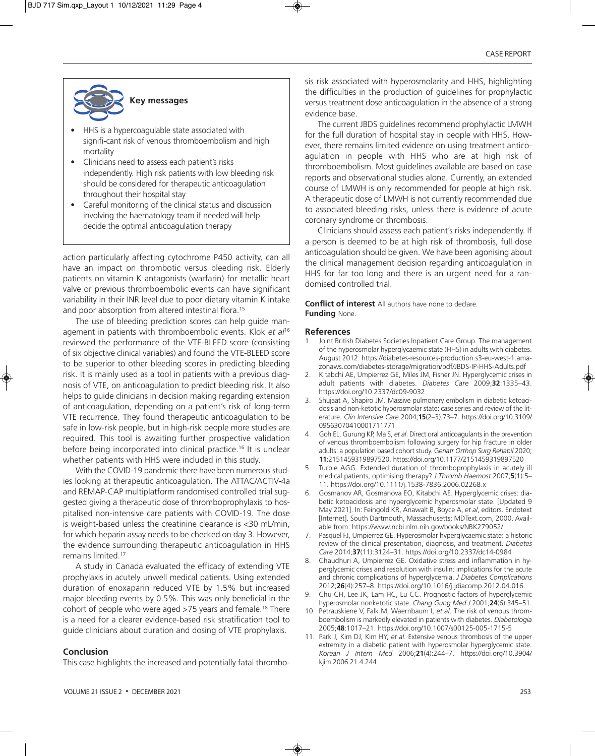

- • HHS is a hypercoagulable state associated with signifi-cant risk of venous thromboembolism and high mortality
- Clinicians need to assess each patient's risks independently. High risk patients with low bleeding risk should be considered for therapeutic anticoagulation throughout their hospital stay
- Careful monitoring of the clinical status and discussion involving the haematology team if needed will help decide the optimal anticoagulation therapy

action particularly affecting cytochrome P450 activity, can all have an impact on thrombotic versus bleeding risk. Elderly patients on vitamin K antagonists (warfarin) for metallic heart valve or previous thromboembolic events can have significant variability in their INR level due to poor dietary vitamin K intake and poor absorption from altered intestinal flora.<sup>15</sup>

The use of bleeding prediction scores can help guide management in patients with thromboembolic events. Klok *et al*<sup>16</sup> reviewed the performance of the VTE-BLEED score (consisting of six objective clinical variables) and found the VTE-BLEED score to be superior to other bleeding scores in predicting bleeding risk. It is mainly used as a tool in patients with a previous diagnosis of VTE, on anticoagulation to predict bleeding risk. It also helps to guide clinicians in decision making regarding extension of anticoagulation, depending on a patient's risk of long-term VTE recurrence. They found therapeutic anticoagulation to be safe in low-risk people, but in high-risk people more studies are required. This tool is awaiting further prospective validation before being incorporated into clinical practice.16 It is unclear whether patients with HHS were included in this study.

With the COVID-19 pandemic there have been numerous studies looking at therapeutic anticoagulation. The ATTAC/ACTIV-4a and REMAP-CAP multiplatform randomised controlled trial suggested giving a therapeutic dose of thromboprophylaxis to hospitalised non-intensive care patients with COVID-19. The dose is weight-based unless the creatinine clearance is <30 mL/min, for which heparin assay needs to be checked on day 3. However, the evidence surrounding therapeutic anticoagulation in HHS remains limited.17

A study in Canada evaluated the efficacy of extending VTE prophylaxis in acutely unwell medical patients. Using extended duration of enoxaparin reduced VTE by 1.5% but increased major bleeding events by 0.5%. This was only beneficial in the cohort of people who were aged >75 years and female.18 There is a need for a clearer evidence-based risk stratification tool to guide clinicians about duration and dosing of VTE prophylaxis.

## **Conclusion**

This case highlights the increased and potentially fatal thrombo-

VOLUME 21 ISSUE 2 · DECEMBER 2021 253

sis risk associated with hyperosmolarity and HHS, highlighting the difficulties in the production of guidelines for prophylactic versus treatment dose anticoagulation in the absence of a strong evidence base.

The current JBDS guidelines recommend prophylactic LMWH for the full duration of hospital stay in people with HHS. However, there remains limited evidence on using treatment anticoagulation in people with HHS who are at high risk of thromboembolism. Most guidelines available are based on case reports and observational studies alone. Currently, an extended course of LMWH is only recommended for people at high risk. A therapeutic dose of LMWH is not currently recommended due to associated bleeding risks, unless there is evidence of acute coronary syndrome or thrombosis.

Clinicians should assess each patient's risks independently. If a person is deemed to be at high risk of thrombosis, full dose anticoagulation should be given. We have been agonising about the clinical management decision regarding anticoagulation in HHS for far too long and there is an urgent need for a randomised controlled trial.

**Conflict of interest** All authors have none to declare. **Funding** None.

#### **References**

- 1. Joint British Diabetes Societies Inpatient Care Group. The management of the hyperosmolar hyperglycaemic state (HHS) in adults with diabetes. August 2012. https://diabetes-resources-production.s3-eu-west-1.amazonaws.com/diabetes-storage/migration/pdf/JBDS-IP-HHS-Adults.pdf
- 2. Kitabchi AE, Umpierrez GE, Miles JM, Fisher JN. Hyperglycemic crises in adult patients with diabetes. *Diabetes Care* 2009;**32**:1335–43. https://doi.org/10.2337/dc09-9032
- 3. Shujaat A, Shapiro JM. Massive pulmonary embolism in diabetic ketoacidosis and non-ketotic hyperosmolar state: case series and review of the literature. *Clin Intensive Care* 2004;**15**(2–3):73–7. https://doi.org/10.3109/ 09563070410001711771
- 4. Goh EL, Gurung KP, Ma S, *et al*. Direct oral anticoagulants in the prevention of venous thromboembolism following surgery for hip fracture in older adults: a population based cohort study. G*eriatr Orthop Surg Rehabil* 2020; **11**:2151459319897520. https://doi.org/10.1177/2151459319897520
- 5. Turpie AGG. Extended duration of thromboprophylaxis in acutely ill medical patients, optimising therapy? *J Thromb Haemost* 2007;**5**(1):5– 11. https://doi.org/10.1111/j.1538-7836.2006.02268.x
- 6. Gosmanov AR, Gosmanova EO, Kitabchi AE. Hyperglycemic crises: diabetic ketoacidosis and hyperglycemic hyperosmolar state. [Updated 9 May 2021]. In: Feingold KR, Anawalt B, Boyce A, *et al*, editors. Endotext [Internet]. South Dartmouth, Massachusetts: MDText.com, 2000. Available from: https://www.ncbi.nlm.nih.gov/books/NBK279052/
- 7. Pasquel FJ, Umpierrez GE. Hyperosmolar hyperglycaemic state: a historic review of the clinical presentation, diagnosis, and treatment. *Diabetes Care* 2014;**37**(11):3124–31. https://doi.org/10.2337/dc14-0984
- Chaudhuri A, Umpierrez GE. Oxidative stress and inflammation in hyperglycemic crises and resolution with insulin: implications for the acute and chronic complications of hyperglycemia. *J Diabetes Complications* 2012;**26**(4):257–8. https://doi.org/10.1016/j.jdiacomp.2012.04.016.
- 9. Chu CH, Lee JK, Lam HC, Lu CC. Prognostic factors of hyperglycemic hyperosmolar nonketotic state. *Chang Gung Med J* 2001;**24**(6):345–51.
- 10. Petrauskiene V, Falk M, Waernbaum I, *et al*. The risk of venous thromboembolism is markedly elevated in patients with diabetes. *Diabetologia* 2005;**48**:1017–21. https://doi.org/10.1007/s00125-005-1715-5
- 11. Park J, Kim DJ, Kim HY, *et al*. Extensive venous thrombosis of the upper extremity in a diabetic patient with hyperosmolar hyperglycemic state. *Korean J Intern Med* 2006;**21**(4):244–7. https://doi.org/10.3904/ kjim.2006.21.4.244